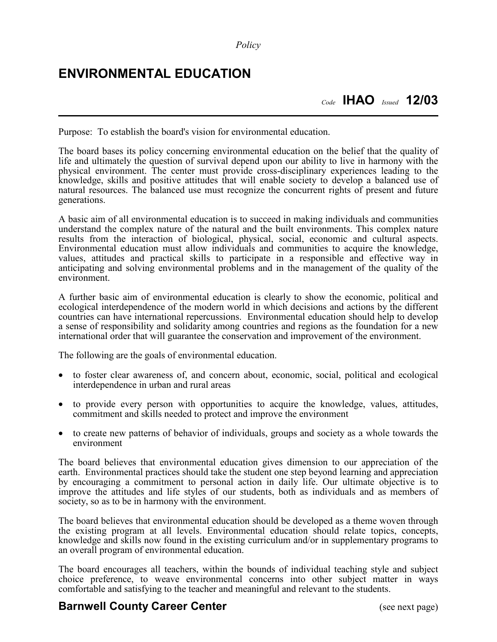## **ENVIRONMENTAL EDUCATION**

*Code* **IHAO** *Issued* **12/03**

Purpose: To establish the board's vision for environmental education.

The board bases its policy concerning environmental education on the belief that the quality of life and ultimately the question of survival depend upon our ability to live in harmony with the physical environment. The center must provide cross-disciplinary experiences leading to the knowledge, skills and positive attitudes that will enable society to develop a balanced use of natural resources. The balanced use must recognize the concurrent rights of present and future generations.

A basic aim of all environmental education is to succeed in making individuals and communities understand the complex nature of the natural and the built environments. This complex nature results from the interaction of biological, physical, social, economic and cultural aspects. Environmental education must allow individuals and communities to acquire the knowledge, values, attitudes and practical skills to participate in a responsible and effective way in anticipating and solving environmental problems and in the management of the quality of the environment.

A further basic aim of environmental education is clearly to show the economic, political and ecological interdependence of the modern world in which decisions and actions by the different countries can have international repercussions. Environmental education should help to develop a sense of responsibility and solidarity among countries and regions as the foundation for a new international order that will guarantee the conservation and improvement of the environment.

The following are the goals of environmental education.

- to foster clear awareness of, and concern about, economic, social, political and ecological interdependence in urban and rural areas
- to provide every person with opportunities to acquire the knowledge, values, attitudes, commitment and skills needed to protect and improve the environment
- to create new patterns of behavior of individuals, groups and society as a whole towards the environment

The board believes that environmental education gives dimension to our appreciation of the earth. Environmental practices should take the student one step beyond learning and appreciation by encouraging a commitment to personal action in daily life. Our ultimate objective is to improve the attitudes and life styles of our students, both as individuals and as members of society, so as to be in harmony with the environment.

The board believes that environmental education should be developed as a theme woven through the existing program at all levels. Environmental education should relate topics, concepts, knowledge and skills now found in the existing curriculum and/or in supplementary programs to an overall program of environmental education.

The board encourages all teachers, within the bounds of individual teaching style and subject choice preference, to weave environmental concerns into other subject matter in ways comfortable and satisfying to the teacher and meaningful and relevant to the students.

## **Barnwell County Career Center** (see next page)